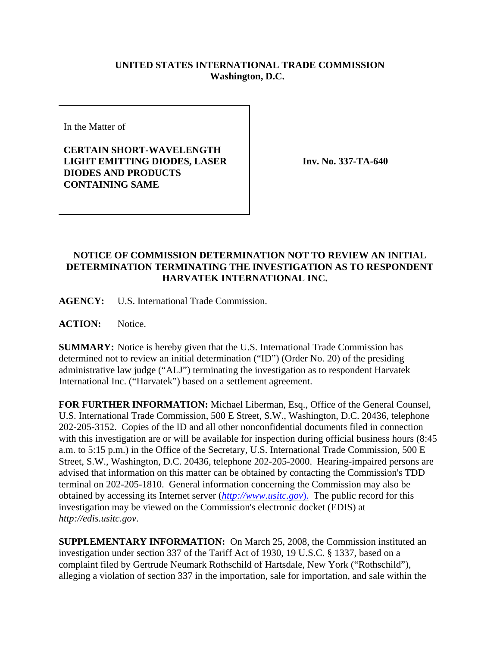## **UNITED STATES INTERNATIONAL TRADE COMMISSION Washington, D.C.**

In the Matter of

**CERTAIN SHORT-WAVELENGTH LIGHT EMITTING DIODES, LASER DIODES AND PRODUCTS CONTAINING SAME**

**Inv. No. 337-TA-640**

## **NOTICE OF COMMISSION DETERMINATION NOT TO REVIEW AN INITIAL DETERMINATION TERMINATING THE INVESTIGATION AS TO RESPONDENT HARVATEK INTERNATIONAL INC.**

**AGENCY:** U.S. International Trade Commission.

**ACTION:** Notice.

**SUMMARY:** Notice is hereby given that the U.S. International Trade Commission has determined not to review an initial determination ("ID") (Order No. 20) of the presiding administrative law judge ("ALJ") terminating the investigation as to respondent Harvatek International Inc. ("Harvatek") based on a settlement agreement.

**FOR FURTHER INFORMATION:** Michael Liberman, Esq., Office of the General Counsel, U.S. International Trade Commission, 500 E Street, S.W., Washington, D.C. 20436, telephone 202-205-3152. Copies of the ID and all other nonconfidential documents filed in connection with this investigation are or will be available for inspection during official business hours (8:45 a.m. to 5:15 p.m.) in the Office of the Secretary, U.S. International Trade Commission, 500 E Street, S.W., Washington, D.C. 20436, telephone 202-205-2000. Hearing-impaired persons are advised that information on this matter can be obtained by contacting the Commission's TDD terminal on 202-205-1810. General information concerning the Commission may also be obtained by accessing its Internet server (*http://www.usitc.gov*). The public record for this investigation may be viewed on the Commission's electronic docket (EDIS) at *http://edis.usitc.gov*.

**SUPPLEMENTARY INFORMATION:** On March 25, 2008, the Commission instituted an investigation under section 337 of the Tariff Act of 1930, 19 U.S.C. § 1337, based on a complaint filed by Gertrude Neumark Rothschild of Hartsdale, New York ("Rothschild"), alleging a violation of section 337 in the importation, sale for importation, and sale within the